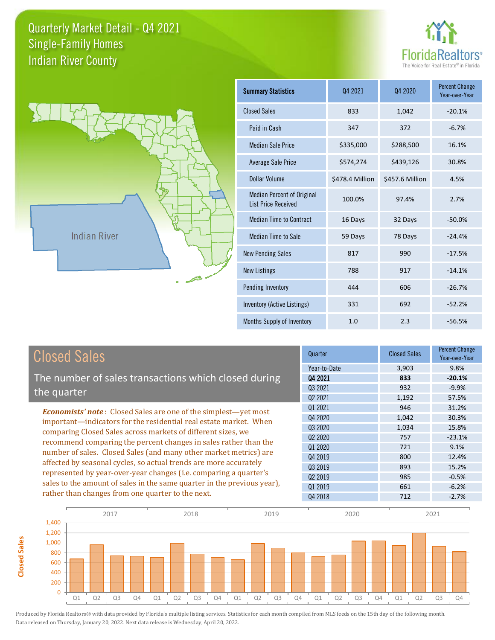**Closed Sales**

**Closed Sales** 





| <b>Summary Statistics</b>                                       | Q4 2021         | Q4 2020         | <b>Percent Change</b><br>Year-over-Year |
|-----------------------------------------------------------------|-----------------|-----------------|-----------------------------------------|
| <b>Closed Sales</b>                                             | 833             | 1,042           | $-20.1%$                                |
| Paid in Cash                                                    | 347             | 372             | $-6.7%$                                 |
| <b>Median Sale Price</b>                                        | \$335,000       | \$288,500       | 16.1%                                   |
| <b>Average Sale Price</b>                                       | \$574,274       | \$439,126       | 30.8%                                   |
| Dollar Volume                                                   | \$478.4 Million | \$457.6 Million | 4.5%                                    |
| <b>Median Percent of Original</b><br><b>List Price Received</b> | 100.0%          | 97.4%           | 2.7%                                    |
| <b>Median Time to Contract</b>                                  | 16 Days         | 32 Days         | $-50.0%$                                |
| <b>Median Time to Sale</b>                                      | 59 Days         | 78 Days         | $-24.4%$                                |
| <b>New Pending Sales</b>                                        | 817             | 990             | $-17.5%$                                |
| <b>New Listings</b>                                             | 788             | 917             | $-14.1%$                                |
| Pending Inventory                                               | 444             | 606             | $-26.7%$                                |
| Inventory (Active Listings)                                     | 331             | 692             | $-52.2%$                                |
| Months Supply of Inventory                                      | 1.0             | 2.3             | $-56.5%$                                |

| <b>Closed Sales</b>                                                                                                              | Quarter             | <b>Closed Sales</b> | Percent Change<br>Year-over-Year |
|----------------------------------------------------------------------------------------------------------------------------------|---------------------|---------------------|----------------------------------|
|                                                                                                                                  | Year-to-Date        | 3,903               | 9.8%                             |
| The number of sales transactions which closed during                                                                             | Q4 2021             | 833                 | $-20.1%$                         |
|                                                                                                                                  | Q3 2021             | 932                 | $-9.9%$                          |
| the quarter                                                                                                                      | Q <sub>2</sub> 2021 | 1,192               | 57.5%                            |
| <b>Economists' note:</b> Closed Sales are one of the simplest—yet most                                                           | 01 2021             | 946                 | 31.2%                            |
| important-indicators for the residential real estate market. When                                                                | Q4 2020             | 1,042               | 30.3%                            |
| comparing Closed Sales across markets of different sizes, we<br>recommend comparing the percent changes in sales rather than the | Q3 2020             | 1,034               | 15.8%                            |
|                                                                                                                                  | Q <sub>2</sub> 2020 | 757                 | $-23.1%$                         |
|                                                                                                                                  | Q1 2020             | 721                 | 9.1%                             |
| number of sales. Closed Sales (and many other market metrics) are                                                                | Q4 2019             | 800                 | 12.4%                            |
| affected by seasonal cycles, so actual trends are more accurately                                                                | Q3 2019             | 893                 | 15.2%                            |
| represented by year-over-year changes (i.e. comparing a quarter's                                                                | 02 2019             | 985                 | $-0.5%$                          |
| sales to the amount of sales in the same quarter in the previous year),                                                          | 01 2019             | 661                 | $-6.2%$                          |
| rather than changes from one quarter to the next.                                                                                | Q4 2018             | 712                 | $-2.7%$                          |

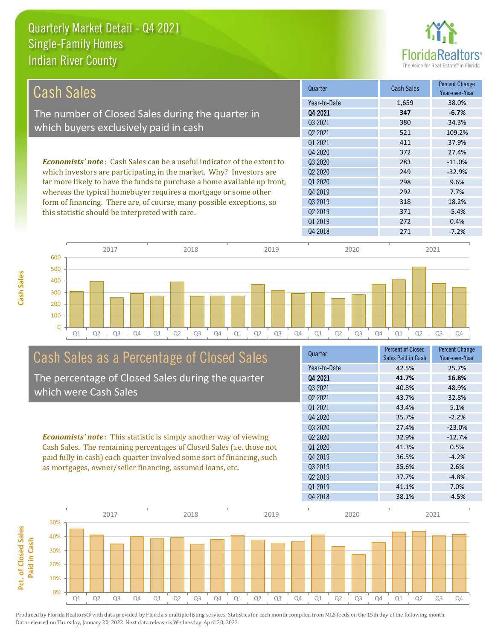**Cash Sales**



| Cash Sales                                                                      | Quarter      | <b>Cash Sales</b> | <b>Percent Change</b><br>Year-over-Year |
|---------------------------------------------------------------------------------|--------------|-------------------|-----------------------------------------|
|                                                                                 | Year-to-Date | 1,659             | 38.0%                                   |
| The number of Closed Sales during the quarter in                                | Q4 2021      | 347               | $-6.7%$                                 |
| which buyers exclusively paid in cash                                           | 03 2021      | 380               | 34.3%                                   |
|                                                                                 | 02 2021      | 521               | 109.2%                                  |
|                                                                                 | 01 2021      | 411               | 37.9%                                   |
|                                                                                 | 04 2020      | 372               | 27.4%                                   |
| <b>Economists' note</b> : Cash Sales can be a useful indicator of the extent to | 03 20 20     | 283               | $-11.0%$                                |
| which investors are participating in the market. Why? Investors are             | 02 2020      | 249               | $-32.9%$                                |
| far more likely to have the funds to purchase a home available up front,        | 01 2020      | 298               | 9.6%                                    |
| whereas the typical homebuyer requires a mortgage or some other                 | 04 2019      | 292               | 7.7%                                    |
| form of financing. There are, of course, many possible exceptions, so           | 03 2019      | 318               | 18.2%                                   |
| this statistic should be interpreted with care.                                 | 02 2019      | 371               | $-5.4%$                                 |
|                                                                                 | Q1 2019      | 272               | 0.4%                                    |



## Cash Sales as a Percentage of Closed Sales The percentage of Closed Sales during the quarter

which were Cash Sales

*Economists' note* : This statistic is simply another way of viewing Cash Sales. The remaining percentages of Closed Sales (i.e. those not paid fully in cash) each quarter involved some sort of financing, such as mortgages, owner/seller financing, assumed loans, etc.

| Quarter                         | <b>Percent of Closed</b><br>Sales Paid in Cash | <b>Percent Change</b><br>Year-over-Year |
|---------------------------------|------------------------------------------------|-----------------------------------------|
| Year-to-Date                    | 42.5%                                          | 25.7%                                   |
| Q4 2021                         | 41.7%                                          | 16.8%                                   |
| 03 2021                         | 40.8%                                          | 48.9%                                   |
| Q <sub>2</sub> 2021             | 43.7%                                          | 32.8%                                   |
| Q1 2021                         | 43.4%                                          | 5.1%                                    |
| Q4 2020                         | 35.7%                                          | $-2.2%$                                 |
| Q3 2020                         | 27.4%                                          | $-23.0%$                                |
| Q <sub>2</sub> 20 <sub>20</sub> | 32.9%                                          | $-12.7%$                                |
| Q1 2020                         | 41.3%                                          | 0.5%                                    |
| Q4 2019                         | 36.5%                                          | $-4.2%$                                 |
| 03 2019                         | 35.6%                                          | 2.6%                                    |
| Q <sub>2</sub> 2019             | 37.7%                                          | $-4.8%$                                 |
| Q1 2019                         | 41.1%                                          | 7.0%                                    |
| Q4 2018                         | 38.1%                                          | $-4.5%$                                 |
|                                 |                                                |                                         |

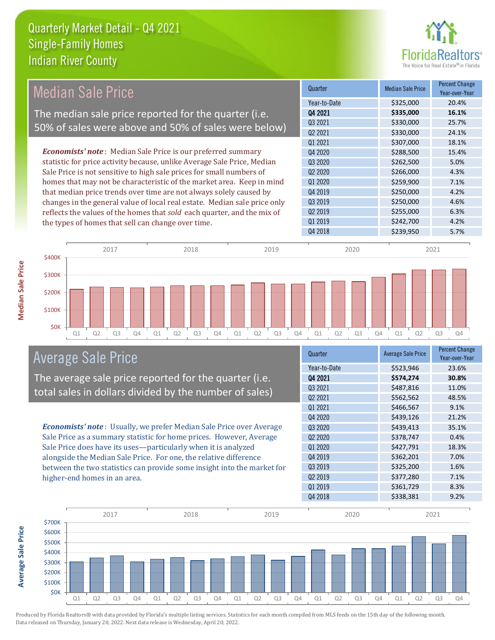

## Median Sale Price The median sale price reported for the quarter (i.e. 50% of sales were above and 50% of sales were below)

*Economists' note* : Median Sale Price is our preferred summary statistic for price activity because, unlike Average Sale Price, Median Sale Price is not sensitive to high sale prices for small numbers of homes that may not be characteristic of the market area. Keep in mind that median price trends over time are not always solely caused by changes in the general value of local real estate. Median sale price only reflects the values of the homes that *sold* each quarter, and the mix of the types of homes that sell can change over time.

| Quarter                         | <b>Median Sale Price</b> | <b>Percent Change</b><br>Year-over-Year |
|---------------------------------|--------------------------|-----------------------------------------|
| Year-to-Date                    | \$325,000                | 20.4%                                   |
| Q4 2021                         | \$335,000                | 16.1%                                   |
| Q3 2021                         | \$330,000                | 25.7%                                   |
| Q2 2021                         | \$330,000                | 24.1%                                   |
| 01 2021                         | \$307,000                | 18.1%                                   |
| Q4 2020                         | \$288,500                | 15.4%                                   |
| Q3 2020                         | \$262,500                | 5.0%                                    |
| Q <sub>2</sub> 20 <sub>20</sub> | \$266,000                | 4.3%                                    |
| Q1 2020                         | \$259,900                | 7.1%                                    |
| Q4 2019                         | \$250,000                | 4.2%                                    |
| Q3 2019                         | \$250,000                | 4.6%                                    |
| Q <sub>2</sub> 2019             | \$255,000                | 6.3%                                    |
| Q1 2019                         | \$242,700                | 4.2%                                    |
| Q4 2018                         | \$239,950                | 5.7%                                    |
|                                 |                          |                                         |



## Average Sale Price

The average sale price reported for the quarter (i.e. total sales in dollars divided by the number of sales)

*Economists' note* : Usually, we prefer Median Sale Price over Average Sale Price as a summary statistic for home prices. However, Average Sale Price does have its uses—particularly when it is analyzed alongside the Median Sale Price. For one, the relative difference between the two statistics can provide some insight into the market for higher-end homes in an area.

| Quarter                         | <b>Average Sale Price</b> | <b>Percent Change</b><br>Year-over-Year |
|---------------------------------|---------------------------|-----------------------------------------|
| Year-to-Date                    | \$523,946                 | 23.6%                                   |
| Q4 2021                         | \$574,274                 | 30.8%                                   |
| Q3 2021                         | \$487,816                 | 11.0%                                   |
| Q2 2021                         | \$562,562                 | 48.5%                                   |
| Q1 2021                         | \$466,567                 | 9.1%                                    |
| Q4 2020                         | \$439,126                 | 21.2%                                   |
| Q3 2020                         | \$439,413                 | 35.1%                                   |
| Q <sub>2</sub> 20 <sub>20</sub> | \$378,747                 | 0.4%                                    |
| Q1 2020                         | \$427,791                 | 18.3%                                   |
| Q4 2019                         | \$362,201                 | 7.0%                                    |
| Q3 2019                         | \$325,200                 | 1.6%                                    |
| Q <sub>2</sub> 2019             | \$377,280                 | 7.1%                                    |
| Q1 2019                         | \$361,729                 | 8.3%                                    |
| Q4 2018                         | \$338,381                 | 9.2%                                    |



**Average Sale Price Average Sale Price**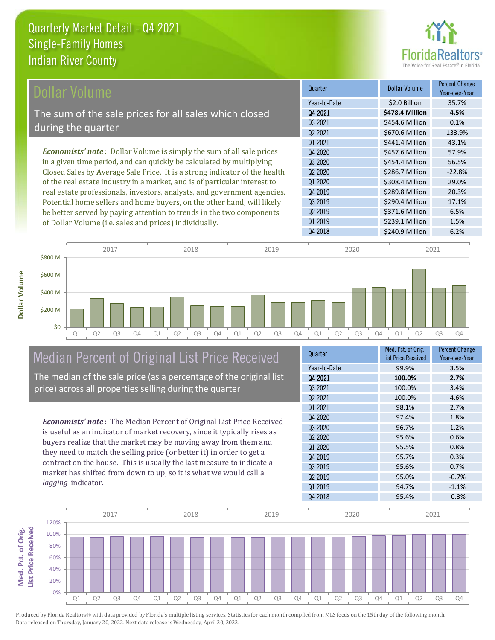

| Dollar Volume                                                                | Quarter             | <b>Dollar Volume</b> | <b>Percent Change</b><br>Year-over-Year |
|------------------------------------------------------------------------------|---------------------|----------------------|-----------------------------------------|
|                                                                              | Year-to-Date        | \$2.0 Billion        | 35.7%                                   |
| The sum of the sale prices for all sales which closed                        | Q4 2021             | \$478.4 Million      | 4.5%                                    |
| during the quarter                                                           | 03 2021             | \$454.6 Million      | 0.1%                                    |
|                                                                              | Q <sub>2</sub> 2021 | \$670.6 Million      | 133.9%                                  |
|                                                                              | 01 2021             | \$441.4 Million      | 43.1%                                   |
| <b>Economists' note</b> : Dollar Volume is simply the sum of all sale prices | Q4 2020             | \$457.6 Million      | 57.9%                                   |
| in a given time period, and can quickly be calculated by multiplying         | Q3 2020             | \$454.4 Million      | 56.5%                                   |
| Closed Sales by Average Sale Price. It is a strong indicator of the health   | Q <sub>2</sub> 2020 | \$286.7 Million      | $-22.8%$                                |
| of the real estate industry in a market, and is of particular interest to    | Q1 2020             | \$308.4 Million      | 29.0%                                   |
| real estate professionals, investors, analysts, and government agencies.     | Q4 2019             | \$289.8 Million      | 20.3%                                   |
| Potential home sellers and home buyers, on the other hand, will likely       | Q3 2019             | \$290.4 Million      | 17.1%                                   |
| be better served by paying attention to trends in the two components         | 02 2019             | \$371.6 Million      | 6.5%                                    |



# Median Percent of Original List Price Received

of Dollar Volume (i.e. sales and prices) individually.

The median of the sale price (as a percentage of the original list price) across all properties selling during the quarter

*Economists' note* : The Median Percent of Original List Price Received is useful as an indicator of market recovery, since it typically rises as buyers realize that the market may be moving away from them and they need to match the selling price (or better it) in order to get a contract on the house. This is usually the last measure to indicate a market has shifted from down to up, so it is what we would call a *lagging* indicator.

| Quarter                         | Med. Pct. of Orig.<br><b>List Price Received</b> | <b>Percent Change</b><br>Year-over-Year |
|---------------------------------|--------------------------------------------------|-----------------------------------------|
| Year-to-Date                    | 99.9%                                            | 3.5%                                    |
| Q4 2021                         | 100.0%                                           | 2.7%                                    |
| 03 2021                         | 100.0%                                           | 3.4%                                    |
| Q <sub>2</sub> 2021             | 100.0%                                           | 4.6%                                    |
| Q1 2021                         | 98.1%                                            | 2.7%                                    |
| Q4 2020                         | 97.4%                                            | 1.8%                                    |
| Q3 2020                         | 96.7%                                            | 1.2%                                    |
| Q <sub>2</sub> 20 <sub>20</sub> | 95.6%                                            | 0.6%                                    |
| Q1 2020                         | 95.5%                                            | 0.8%                                    |
| Q4 2019                         | 95.7%                                            | 0.3%                                    |
| Q3 2019                         | 95.6%                                            | 0.7%                                    |
| Q <sub>2</sub> 2019             | 95.0%                                            | $-0.7%$                                 |
| Q1 2019                         | 94.7%                                            | $-1.1%$                                 |
| Q4 2018                         | 95.4%                                            | $-0.3%$                                 |

Q1 2019 \$239.1 Million 1.5%

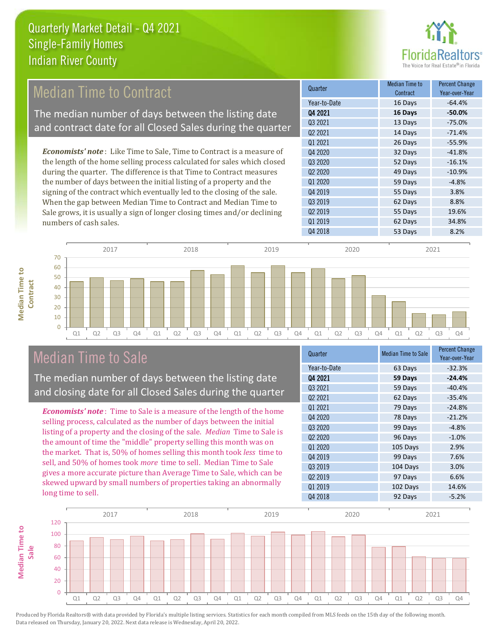

## Median Time to Contract

The median number of days between the listing date and contract date for all Closed Sales during the quarter

*Economists' note* : Like Time to Sale, Time to Contract is a measure of the length of the home selling process calculated for sales which closed during the quarter. The difference is that Time to Contract measures the number of days between the initial listing of a property and the signing of the contract which eventually led to the closing of the sale. When the gap between Median Time to Contract and Median Time to Sale grows, it is usually a sign of longer closing times and/or declining numbers of cash sales.



## Median Time to Sale

**Median Time to** 

**Median Time to** 

The median number of days between the listing date and closing date for all Closed Sales during the quarter

*Economists' note* : Time to Sale is a measure of the length of the home selling process, calculated as the number of days between the initial listing of a property and the closing of the sale. *Median* Time to Sale is the amount of time the "middle" property selling this month was on the market. That is, 50% of homes selling this month took *less* time to sell, and 50% of homes took *more* time to sell. Median Time to Sale gives a more accurate picture than Average Time to Sale, which can be skewed upward by small numbers of properties taking an abnormally long time to sell.

| Quarter                         | <b>Median Time to Sale</b> | <b>Percent Change</b><br>Year-over-Year |
|---------------------------------|----------------------------|-----------------------------------------|
| Year-to-Date                    | 63 Days                    | $-32.3%$                                |
| Q4 2021                         | 59 Days                    | $-24.4%$                                |
| Q3 2021                         | 59 Days                    | $-40.4%$                                |
| Q <sub>2</sub> 2021             | 62 Days                    | $-35.4%$                                |
| Q1 2021                         | 79 Days                    | $-24.8%$                                |
| Q4 2020                         | 78 Days                    | $-21.2%$                                |
| Q3 2020                         | 99 Days                    | $-4.8%$                                 |
| Q <sub>2</sub> 20 <sub>20</sub> | 96 Days                    | $-1.0%$                                 |
| 01 2020                         | 105 Days                   | 2.9%                                    |
| Q4 2019                         | 99 Days                    | 7.6%                                    |
| Q3 2019                         | 104 Days                   | 3.0%                                    |
| Q <sub>2</sub> 2019             | 97 Days                    | 6.6%                                    |
| Q1 2019                         | 102 Days                   | 14.6%                                   |
| Q4 2018                         | 92 Days                    | $-5.2%$                                 |

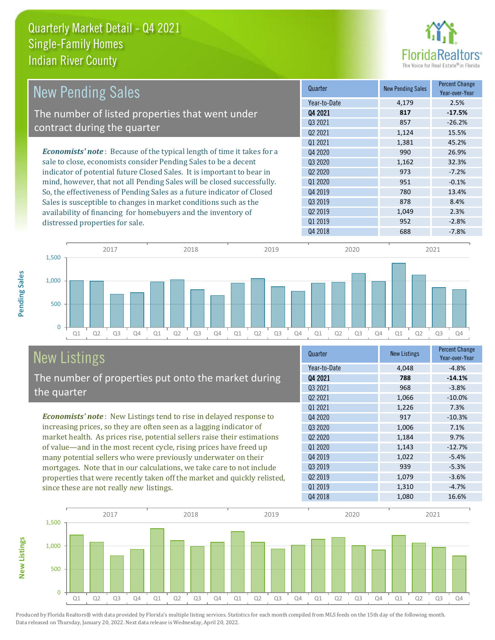

| <b>New Pending Sales</b>                                                      | Quarter             | <b>New Pending Sales</b> | <b>Percent Change</b><br>Year-over-Year |
|-------------------------------------------------------------------------------|---------------------|--------------------------|-----------------------------------------|
|                                                                               | Year-to-Date        | 4,179                    | 2.5%                                    |
| The number of listed properties that went under                               | Q4 2021             | 817                      | $-17.5%$                                |
|                                                                               | Q3 2021             | 857                      | $-26.2%$                                |
| contract during the quarter                                                   | Q <sub>2</sub> 2021 | 1,124                    | 15.5%                                   |
|                                                                               | 01 2021             | 1,381                    | 45.2%                                   |
| <b>Economists' note:</b> Because of the typical length of time it takes for a | Q4 2020             | 990                      | 26.9%                                   |
| sale to close, economists consider Pending Sales to be a decent               | Q3 2020             | 1,162                    | 32.3%                                   |
| indicator of potential future Closed Sales. It is important to bear in        | Q <sub>2</sub> 2020 | 973                      | $-7.2%$                                 |
| mind, however, that not all Pending Sales will be closed successfully.        | 01 2020             | 951                      | $-0.1%$                                 |
| So, the effectiveness of Pending Sales as a future indicator of Closed        | Q4 2019             | 780                      | 13.4%                                   |
| Sales is susceptible to changes in market conditions such as the              | Q3 2019             | 878                      | 8.4%                                    |
| availability of financing for homebuyers and the inventory of                 | Q <sub>2</sub> 2019 | 1,049                    | 2.3%                                    |
| distressed properties for sale.                                               | Q1 2019             | 952                      | $-2.8%$                                 |
|                                                                               | Q4 2018             | 688                      | $-7.8%$                                 |

**New Listings**



# New Listings

The number of properties put onto the market during the quarter

*Economists' note* : New Listings tend to rise in delayed response to increasing prices, so they are often seen as a lagging indicator of market health. As prices rise, potential sellers raise their estimations of value—and in the most recent cycle, rising prices have freed up many potential sellers who were previously underwater on their mortgages. Note that in our calculations, we take care to not include properties that were recently taken off the market and quickly relisted, since these are not really *new* listings.

| Quarter                         | <b>New Listings</b> | <b>Percent Change</b><br>Year-over-Year |
|---------------------------------|---------------------|-----------------------------------------|
| Year-to-Date                    | 4,048               | $-4.8%$                                 |
| Q4 2021                         | 788                 | $-14.1%$                                |
| Q3 2021                         | 968                 | $-3.8%$                                 |
| Q2 2021                         | 1,066               | $-10.0%$                                |
| 01 2021                         | 1,226               | 7.3%                                    |
| Q4 2020                         | 917                 | $-10.3%$                                |
| Q3 2020                         | 1,006               | 7.1%                                    |
| Q <sub>2</sub> 20 <sub>20</sub> | 1,184               | 9.7%                                    |
| Q1 2020                         | 1,143               | $-12.7%$                                |
| Q4 2019                         | 1,022               | $-5.4%$                                 |
| Q3 2019                         | 939                 | $-5.3%$                                 |
| Q <sub>2</sub> 2019             | 1,079               | $-3.6%$                                 |
| Q1 2019                         | 1,310               | $-4.7%$                                 |
| Q4 2018                         | 1,080               | 16.6%                                   |

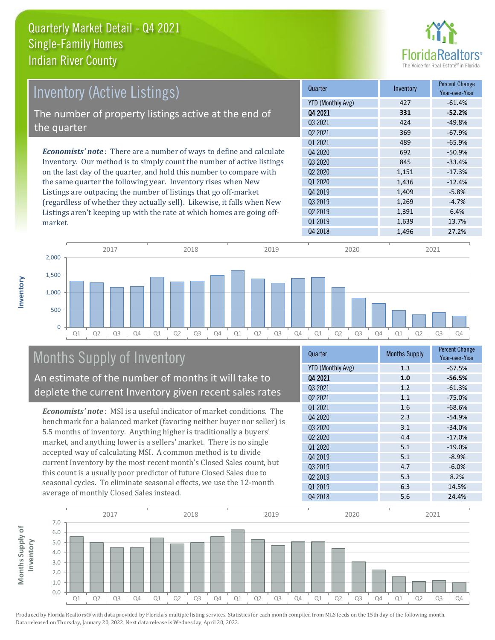

| <b>Inventory (Active Listings)</b>                                           | Quarter             | Inventory | <b>Percent Change</b><br>Year-over-Year |
|------------------------------------------------------------------------------|---------------------|-----------|-----------------------------------------|
|                                                                              | YTD (Monthly Avg)   | 427       | $-61.4%$                                |
| The number of property listings active at the end of                         | Q4 2021             | 331       | $-52.2%$                                |
|                                                                              | Q3 2021             | 424       | $-49.8%$                                |
| the quarter                                                                  | Q <sub>2</sub> 2021 | 369       | $-67.9%$                                |
|                                                                              | 01 2021             | 489       | $-65.9%$                                |
| <b>Economists' note</b> : There are a number of ways to define and calculate | Q4 2020             | 692       | $-50.9%$                                |
| Inventory. Our method is to simply count the number of active listings       | 03 20 20            | 845       | $-33.4%$                                |
| on the last day of the quarter, and hold this number to compare with         | 02 2020             | 1,151     | $-17.3%$                                |
| the same quarter the following year. Inventory rises when New                | Q1 2020             | 1,436     | $-12.4%$                                |
| Listings are outpacing the number of listings that go off-market             | Q4 2019             | 1,409     | $-5.8%$                                 |
| (regardless of whether they actually sell). Likewise, it falls when New      | Q3 2019             | 1,269     | $-4.7%$                                 |
| Listings aren't keeping up with the rate at which homes are going off-       | Q <sub>2</sub> 2019 | 1,391     | 6.4%                                    |
| market                                                                       | Q1 2019             | 1,639     | 13.7%                                   |



# Months Supply of Inventory

An estimate of the number of months it will take to deplete the current Inventory given recent sales rates

*Economists' note* : MSI is a useful indicator of market conditions. The benchmark for a balanced market (favoring neither buyer nor seller) is 5.5 months of inventory. Anything higher is traditionally a buyers' market, and anything lower is a sellers' market. There is no single accepted way of calculating MSI. A common method is to divide current Inventory by the most recent month's Closed Sales count, but this count is a usually poor predictor of future Closed Sales due to seasonal cycles. To eliminate seasonal effects, we use the 12-month average of monthly Closed Sales instead.

| <b>Months Supply</b> | <b>Percent Change</b><br>Year-over-Year |
|----------------------|-----------------------------------------|
| 1.3                  | $-67.5%$                                |
| 1.0                  | $-56.5%$                                |
| 1.2                  | $-61.3%$                                |
| 1.1                  | $-75.0%$                                |
| 1.6                  | $-68.6%$                                |
| 2.3                  | $-54.9%$                                |
| 3.1                  | $-34.0%$                                |
| 4.4                  | $-17.0%$                                |
| 5.1                  | $-19.0%$                                |
| 5.1                  | $-8.9%$                                 |
| 4.7                  | $-6.0%$                                 |
| 5.3                  | 8.2%                                    |
| 6.3                  | 14.5%                                   |
| 5.6                  | 24.4%                                   |
|                      |                                         |



Produced by Florida Realtors® with data provided by Florida's multiple listing services. Statistics for each month compiled from MLS feeds on the 15th day of the following month. Data released on Thursday, January 20, 2022. Next data release is Wednesday, April 20, 2022.

market.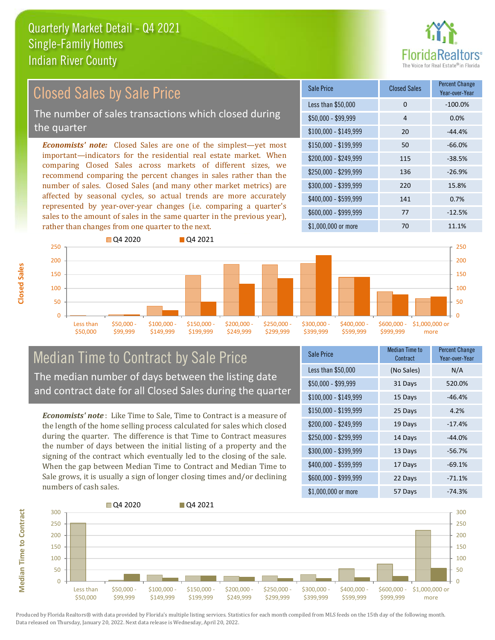

#### *Economists' note:* Closed Sales are one of the simplest—yet most important—indicators for the residential real estate market. When comparing Closed Sales across markets of different sizes, we recommend comparing the percent changes in sales rather than the number of sales. Closed Sales (and many other market metrics) are affected by seasonal cycles, so actual trends are more accurately represented by year-over-year changes (i.e. comparing a quarter's sales to the amount of sales in the same quarter in the previous year), rather than changes from one quarter to the next. \$1,000,000 or more 70 70 11.1% \$250,000 - \$299,999 136 -26.9% \$300,000 - \$399,999 220 15.8% \$400,000 - \$599,999 141 0.7% \$600,000 - \$999,999 77 -12.5% \$150,000 - \$199,999 50 -66.0% \$200,000 - \$249,999 115 -38.5%  $$100,000 - $149,999$  20  $-44.4\%$ Sale Price Closed Sales Percent Change Year-over-Year Less than \$50,000 0 0 -100.0%  $$50,000 - $99,999$  4 0.0% 150 200 250 **Q** 04 2020 **Q** 04 2021 150 200 250 Closed Sales by Sale Price The number of sales transactions which closed during the quarter

\$250,000 - \$299,999

\$300,000 - \$399,999

\$400,000 - \$599,999

# Median Time to Contract by Sale Price The median number of days between the listing date and contract date for all Closed Sales during the quarter

\$100,000 \$149,999 \$150,000 - \$199,999

\$200,000 - \$249,999

*Economists' note* : Like Time to Sale, Time to Contract is a measure of the length of the home selling process calculated for sales which closed during the quarter. The difference is that Time to Contract measures the number of days between the initial listing of a property and the signing of the contract which eventually led to the closing of the sale. When the gap between Median Time to Contract and Median Time to Sale grows, it is usually a sign of longer closing times and/or declining numbers of cash sales.

| Sale Price            | Median Time to<br>Contract | <b>Percent Change</b><br>Year-over-Year |
|-----------------------|----------------------------|-----------------------------------------|
| Less than \$50,000    | (No Sales)                 | N/A                                     |
| $$50,000 - $99,999$   | 31 Days                    | 520.0%                                  |
| $$100,000 - $149,999$ | 15 Days                    | $-46.4%$                                |
| \$150,000 - \$199,999 | 25 Days                    | 4.2%                                    |
| \$200,000 - \$249,999 | 19 Days                    | $-17.4%$                                |
| \$250,000 - \$299,999 | 14 Days                    | $-44.0%$                                |
| \$300,000 - \$399,999 | 13 Days                    | $-56.7%$                                |
| \$400,000 - \$599,999 | 17 Days                    | $-69.1%$                                |
| \$600,000 - \$999,999 | 22 Days                    | $-71.1%$                                |
| \$1,000,000 or more   | 57 Days                    | $-74.3%$                                |

\$600,000 - \$999,999

\$1,000,000 or more

 $\Omega$ 50 100



 $\Omega$ 50 100

**Closed Sales**

Less than \$50,000

\$50,000 - \$99,999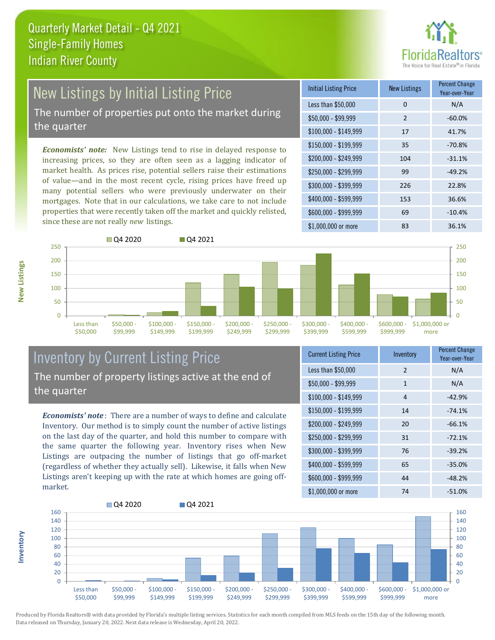

# New Listings by Initial Listing Price

The number of properties put onto the market during the quarter

*Economists' note:* New Listings tend to rise in delayed response to increasing prices, so they are often seen as a lagging indicator of market health. As prices rise, potential sellers raise their estimations of value—and in the most recent cycle, rising prices have freed up many potential sellers who were previously underwater on their mortgages. Note that in our calculations, we take care to not include properties that were recently taken off the market and quickly relisted, since these are not really *new* listings.

| <b>Initial Listing Price</b> | <b>New Listings</b> | <b>Percent Change</b><br>Year-over-Year |
|------------------------------|---------------------|-----------------------------------------|
| Less than \$50,000           | $\Omega$            | N/A                                     |
| $$50,000 - $99,999$          | $\overline{2}$      | $-60.0%$                                |
| $$100,000 - $149,999$        | 17                  | 41.7%                                   |
| $$150,000 - $199,999$        | 35                  | $-70.8%$                                |
| \$200,000 - \$249,999        | 104                 | $-31.1%$                                |
| \$250,000 - \$299,999        | 99                  | $-49.2%$                                |
| \$300,000 - \$399,999        | 226                 | 22.8%                                   |
| \$400,000 - \$599,999        | 153                 | 36.6%                                   |
| \$600,000 - \$999,999        | 69                  | $-10.4%$                                |
| \$1,000,000 or more          | 83                  | 36.1%                                   |



## Inventory by Current Listing Price The number of property listings active at the end of the quarter

*Economists' note* : There are a number of ways to define and calculate Inventory. Our method is to simply count the number of active listings on the last day of the quarter, and hold this number to compare with the same quarter the following year. Inventory rises when New Listings are outpacing the number of listings that go off-market (regardless of whether they actually sell). Likewise, it falls when New Listings aren't keeping up with the rate at which homes are going offmarket.

| <b>Current Listing Price</b> | Inventory     | <b>Percent Change</b><br>Year-over-Year |
|------------------------------|---------------|-----------------------------------------|
| Less than \$50,000           | $\mathcal{P}$ | N/A                                     |
| $$50,000 - $99,999$          | 1             | N/A                                     |
| $$100,000 - $149,999$        | 4             | $-42.9%$                                |
| $$150,000 - $199,999$        | 14            | $-74.1%$                                |
| \$200,000 - \$249,999        | 20            | $-66.1%$                                |
| \$250,000 - \$299,999        | 31            | $-72.1%$                                |
| \$300,000 - \$399,999        | 76            | $-39.2%$                                |
| \$400,000 - \$599,999        | 65            | $-35.0%$                                |
| \$600,000 - \$999,999        | 44            | $-48.2%$                                |
| \$1,000,000 or more          | 74            | $-51.0%$                                |



Produced by Florida Realtors® with data provided by Florida's multiple listing services. Statistics for each month compiled from MLS feeds on the 15th day of the following month. Data released on Thursday, January 20, 2022. Next data release is Wednesday, April 20, 2022.

**Inventory**